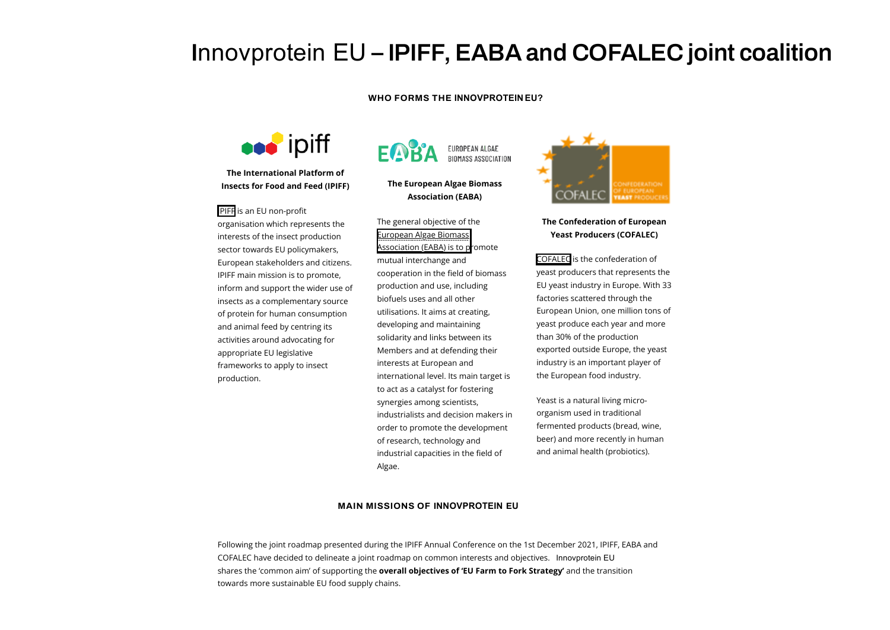# **I**nnovprotein EU **– IPIFF, EABA and COFALEC joint coalition**

## **WHO FORMS THE INNOVPROTEIN EU?**



**The International Platform of Insects for Food and Feed (IPIFF)**

### [IPIFF](https://ipiff.org/) is an EU non-profit

organisation which represents the interests of the insect production sector towards EU policymakers, European stakeholders and citizens. IPIFF main mission is to promote, inform and support the wider use of insects as a complementary source of protein for human consumption and animal feed by centring its activities around advocating for appropriate EU legislative frameworks to apply to insect production.

# EUROPEAN ALGAE **BIOMASS ASSOCIATION**

## **The European Algae Biomass Association (EABA)**

The general objective of the European Algae Biomass [Association](https://www.eaba-association.org/en/aboutus) (EABA) is to promote mutual interchange and cooperation in the field of biomass production and use, including biofuels uses and all other utilisations. It aims at creating, developing and maintaining solidarity and links between its Members and at defending their interests at European and international level. Its main target is to act as a catalyst for fostering synergies among scientists, industrialists and decision makers in order to promote the development of research, technology and industrial capacities in the field of Algae.



# **The Confederation of European Yeast Producers (COFALEC)**

[COFALEC](https://www.cofalec.com/) is the confederation of yeast producers that represents the EU yeast industry in Europe. With 33 factories scattered through the European Union, one million tons of yeast produce each year and more than 30% of the production exported outside Europe, the yeast industry is an important player of the European food industry.

Yeast is a natural living microorganism used in traditional fermented products (bread, wine, beer) and more recently in human and animal health (probiotics).

#### **MAIN MISSIONS OF INNOVPROTEIN EU**

Following the joint roadmap presented during the IPIFF Annual Conference on the 1st December 2021, IPIFF, EABA and COFALEC have decided to delineate a joint roadmap on common interests and objectives. Innovprotein EU shares the 'common aim' of supporting the **overall objectives of 'EU Farm to Fork Strategy'** and the transition towards more sustainable EU food supply chains.